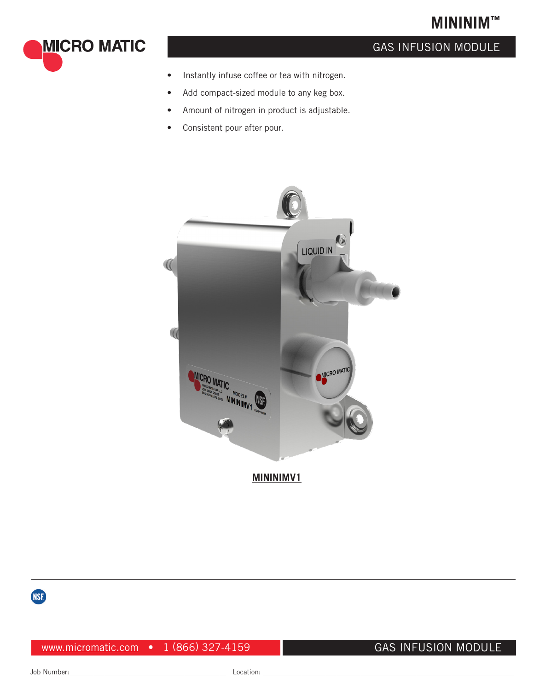# **MININIM™**



## GAS INFUSION MODULE

- Instantly infuse coffee or tea with nitrogen.
- Add compact-sized module to any keg box.
- Amount of nitrogen in product is adjustable.
- Consistent pour after pour.





www.micromatic.com • 1 (866) 327-4159

#### GAS INFUSION MODULE